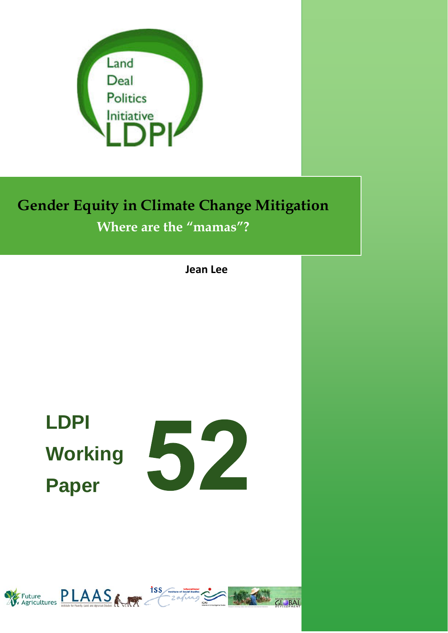

# **Gender Equity in Climate Change Mitigation Where are the "mamas"?**

**Jean Lee**

**LDPI Paper** 



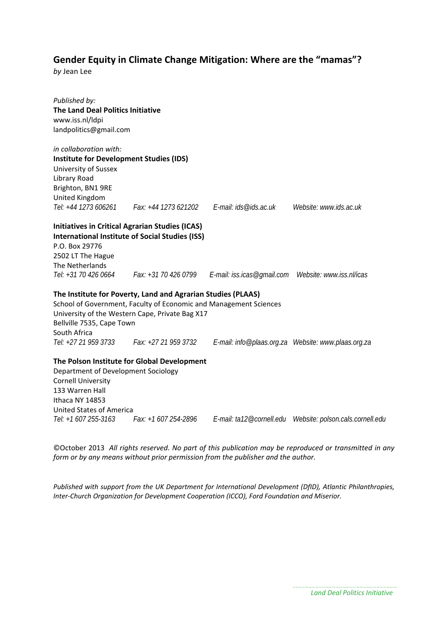# **Gender Equity in Climate Change Mitigation: Where are the "mamas"?**

*by* Jean Lee

*Published by:* **The Land Deal Politics Initiative** www.iss.nl/ldpi landpolitics@gmail.com *in collaboration with:*  **Institute for Development Studies (IDS)** University of Sussex Library Road Brighton, BN1 9RE United Kingdom *Tel: +44 1273 606261 Fax: +44 1273 621202 E-mail: ids@ids.ac.uk Website: www.ids.ac.uk*  **Initiatives in Critical Agrarian Studies (ICAS) International Institute of Social Studies (ISS)** P.O. Box 29776 2502 LT The Hague The Netherlands *Tel: +31 70 426 0664 Fax: +31 70 426 0799 E-mail: iss.icas@gmail.com Website: www.iss.nl/icas* **The Institute for Poverty, Land and Agrarian Studies (PLAAS)** School of Government, Faculty of Economic and Management Sciences University of the Western Cape, Private Bag X17 Bellville 7535, Cape Town South Africa *Tel: +27 21 959 3733 Fax: +27 21 959 3732 E-mail: info@plaas.org.za Website: www.plaas.org.za*  **The Polson Institute for Global Development** Department of Development Sociology Cornell University 133 Warren Hall Ithaca NY 14853

United States of America<br>Tel: +1 607 255-3163 Fax: +1 607 254-2896

*Tel: +1 607 255-3163 Fax: +1 607 254-2896 E-mail: ta12@cornell.edu Website: polson.cals.cornell.edu* 

©October 2013 *All rights reserved. No part of this publication may be reproduced or transmitted in any form or by any means without prior permission from the publisher and the author.*

*Published with support from the UK Department for International Development (DfID), Atlantic Philanthropies, Inter‐Church Organization for Development Cooperation (ICCO), Ford Foundation and Miserior.*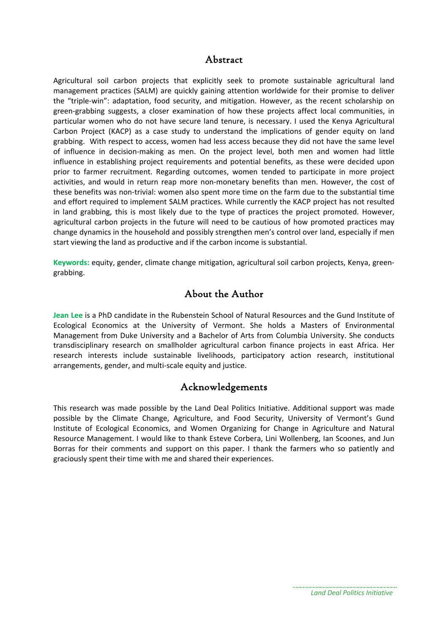# Abstract

Agricultural soil carbon projects that explicitly seek to promote sustainable agricultural land management practices (SALM) are quickly gaining attention worldwide for their promise to deliver the "triple‐win": adaptation, food security, and mitigation. However, as the recent scholarship on green‐grabbing suggests, a closer examination of how these projects affect local communities, in particular women who do not have secure land tenure, is necessary. I used the Kenya Agricultural Carbon Project (KACP) as a case study to understand the implications of gender equity on land grabbing. With respect to access, women had less access because they did not have the same level of influence in decision‐making as men. On the project level, both men and women had little influence in establishing project requirements and potential benefits, as these were decided upon prior to farmer recruitment. Regarding outcomes, women tended to participate in more project activities, and would in return reap more non‐monetary benefits than men. However, the cost of these benefits was non‐trivial: women also spent more time on the farm due to the substantial time and effort required to implement SALM practices. While currently the KACP project has not resulted in land grabbing, this is most likely due to the type of practices the project promoted. However, agricultural carbon projects in the future will need to be cautious of how promoted practices may change dynamics in the household and possibly strengthen men's control over land, especially if men start viewing the land as productive and if the carbon income is substantial.

**Keywords:** equity, gender, climate change mitigation, agricultural soil carbon projects, Kenya, green‐ grabbing.

# About the Author

**Jean Lee** is a PhD candidate in the Rubenstein School of Natural Resources and the Gund Institute of Ecological Economics at the University of Vermont. She holds a Masters of Environmental Management from Duke University and a Bachelor of Arts from Columbia University. She conducts transdisciplinary research on smallholder agricultural carbon finance projects in east Africa. Her research interests include sustainable livelihoods, participatory action research, institutional arrangements, gender, and multi‐scale equity and justice.

# Acknowledgements

This research was made possible by the Land Deal Politics Initiative. Additional support was made possible by the Climate Change, Agriculture, and Food Security, University of Vermont's Gund Institute of Ecological Economics, and Women Organizing for Change in Agriculture and Natural Resource Management. I would like to thank Esteve Corbera, Lini Wollenberg, Ian Scoones, and Jun Borras for their comments and support on this paper. I thank the farmers who so patiently and graciously spent their time with me and shared their experiences.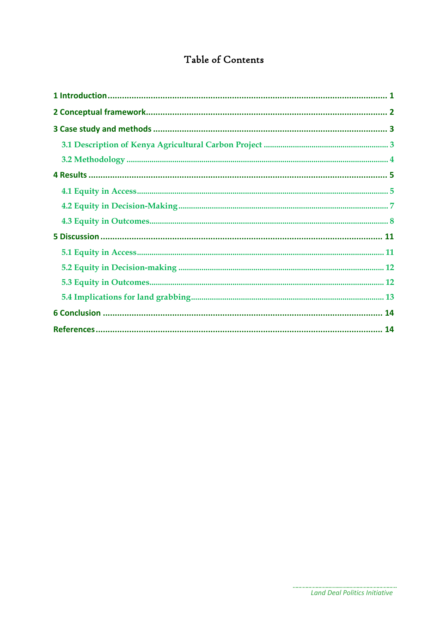# Table of Contents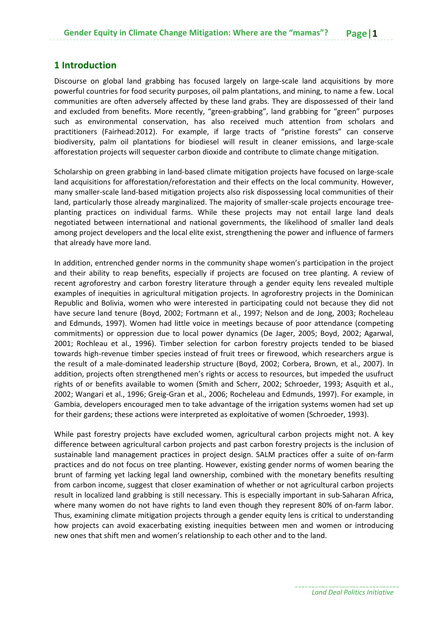### **1 Introduction**

Discourse on global land grabbing has focused largely on large-scale land acquisitions by more powerful countries for food security purposes, oil palm plantations, and mining, to name a few. Local communities are often adversely affected by these land grabs. They are dispossessed of their land and excluded from benefits. More recently, "green-grabbing", land grabbing for "green" purposes such as environmental conservation, has also received much attention from scholars and practitioners (Fairhead:2012). For example, if large tracts of "pristine forests" can conserve biodiversity, palm oil plantations for biodiesel will result in cleaner emissions, and large‐scale afforestation projects will sequester carbon dioxide and contribute to climate change mitigation.

Scholarship on green grabbing in land‐based climate mitigation projects have focused on large‐scale land acquisitions for afforestation/reforestation and their effects on the local community. However, many smaller‐scale land‐based mitigation projects also risk dispossessing local communities of their land, particularly those already marginalized. The majority of smaller-scale projects encourage treeplanting practices on individual farms. While these projects may not entail large land deals negotiated between international and national governments, the likelihood of smaller land deals among project developers and the local elite exist, strengthening the power and influence of farmers that already have more land.

In addition, entrenched gender norms in the community shape women's participation in the project and their ability to reap benefits, especially if projects are focused on tree planting. A review of recent agroforestry and carbon forestry literature through a gender equity lens revealed multiple examples of inequities in agricultural mitigation projects. In agroforestry projects in the Dominican Republic and Bolivia, women who were interested in participating could not because they did not have secure land tenure (Boyd, 2002; Fortmann et al., 1997; Nelson and de Jong, 2003; Rocheleau and Edmunds, 1997). Women had little voice in meetings because of poor attendance (competing commitments) or oppression due to local power dynamics (De Jager, 2005; Boyd, 2002; Agarwal, 2001; Rochleau et al., 1996). Timber selection for carbon forestry projects tended to be biased towards high-revenue timber species instead of fruit trees or firewood, which researchers argue is the result of a male-dominated leadership structure (Boyd, 2002; Corbera, Brown, et al., 2007). In addition, projects often strengthened men's rights or access to resources, but impeded the usufruct rights of or benefits available to women (Smith and Scherr, 2002; Schroeder, 1993; Asquith et al., 2002; Wangari et al., 1996; Greig‐Gran et al., 2006; Rocheleau and Edmunds, 1997). For example, in Gambia, developers encouraged men to take advantage of the irrigation systems women had set up for their gardens; these actions were interpreted as exploitative of women (Schroeder, 1993).

While past forestry projects have excluded women, agricultural carbon projects might not. A key difference between agricultural carbon projects and past carbon forestry projects is the inclusion of sustainable land management practices in project design. SALM practices offer a suite of on‐farm practices and do not focus on tree planting. However, existing gender norms of women bearing the brunt of farming yet lacking legal land ownership, combined with the monetary benefits resulting from carbon income, suggest that closer examination of whether or not agricultural carbon projects result in localized land grabbing is still necessary. This is especially important in sub‐Saharan Africa, where many women do not have rights to land even though they represent 80% of on-farm labor. Thus, examining climate mitigation projects through a gender equity lens is critical to understanding how projects can avoid exacerbating existing inequities between men and women or introducing new ones that shift men and women's relationship to each other and to the land.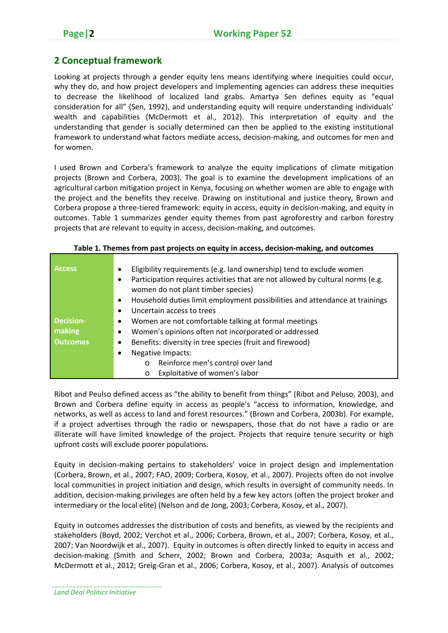# **2 Conceptual framework**

Looking at projects through a gender equity lens means identifying where inequities could occur, why they do, and how project developers and implementing agencies can address these inequities to decrease the likelihood of localized land grabs. Amartya Sen defines equity as "equal consideration for all" (Sen, 1992), and understanding equity will require understanding individuals' wealth and capabilities (McDermott et al., 2012). This interpretation of equity and the understanding that gender is socially determined can then be applied to the existing institutional framework to understand what factors mediate access, decision-making, and outcomes for men and for women.

I used Brown and Corbera's framework to analyze the equity implications of climate mitigation projects (Brown and Corbera, 2003). The goal is to examine the development implications of an agricultural carbon mitigation project in Kenya, focusing on whether women are able to engage with the project and the benefits they receive. Drawing on institutional and justice theory, Brown and Corbera propose a three‐tiered framework: equity in access, equity in decision‐making, and equity in outcomes. Table 1 summarizes gender equity themes from past agroforestry and carbon forestry projects that are relevant to equity in access, decision-making, and outcomes.

| <b>Access</b>    | Eligibility requirements (e.g. land ownership) tend to exclude women                                                 |  |  |  |  |  |
|------------------|----------------------------------------------------------------------------------------------------------------------|--|--|--|--|--|
|                  | Participation requires activities that are not allowed by cultural norms (e.g.<br>women do not plant timber species) |  |  |  |  |  |
|                  | Household duties limit employment possibilities and attendance at trainings                                          |  |  |  |  |  |
|                  | Uncertain access to trees                                                                                            |  |  |  |  |  |
| <b>Decision-</b> | Women are not comfortable talking at formal meetings                                                                 |  |  |  |  |  |
| making           | Women's opinions often not incorporated or addressed                                                                 |  |  |  |  |  |
| <b>Outcomes</b>  | Benefits: diversity in tree species (fruit and firewood)                                                             |  |  |  |  |  |
|                  | <b>Negative Impacts:</b>                                                                                             |  |  |  |  |  |
|                  | Reinforce men's control over land<br>$\Omega$                                                                        |  |  |  |  |  |
|                  | Exploitative of women's labor<br>$\circ$                                                                             |  |  |  |  |  |

**Table 1. Themes from past projects on equity in access, decision‐making, and outcomes**

Ribot and Peulso defined access as "the ability to benefit from things" (Ribot and Peluso, 2003), and Brown and Corbera define equity in access as people's "access to information, knowledge, and networks, as well as access to land and forest resources." (Brown and Corbera, 2003b). For example, if a project advertises through the radio or newspapers, those that do not have a radio or are illiterate will have limited knowledge of the project. Projects that require tenure security or high upfront costs will exclude poorer populations.

Equity in decision‐making pertains to stakeholders' voice in project design and implementation (Corbera, Brown, et al., 2007; FAO, 2009; Corbera, Kosoy, et al., 2007). Projects often do not involve local communities in project initiation and design, which results in oversight of community needs. In addition, decision‐making privileges are often held by a few key actors (often the project broker and intermediary or the local elite) (Nelson and de Jong, 2003; Corbera, Kosoy, et al., 2007).

Equity in outcomes addresses the distribution of costs and benefits, as viewed by the recipients and stakeholders (Boyd, 2002; Verchot et al., 2006; Corbera, Brown, et al., 2007; Corbera, Kosoy, et al., 2007; Van Noordwijk et al., 2007). Equity in outcomes is often directly linked to equity in access and decision‐making (Smith and Scherr, 2002; Brown and Corbera, 2003a; Asquith et al., 2002; McDermott et al., 2012; Greig‐Gran et al., 2006; Corbera, Kosoy, et al., 2007). Analysis of outcomes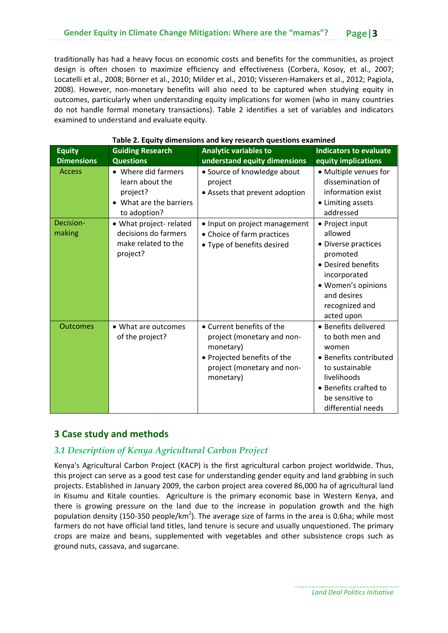traditionally has had a heavy focus on economic costs and benefits for the communities, as project design is often chosen to maximize efficiency and effectiveness (Corbera, Kosoy, et al., 2007; Locatelli et al., 2008; Börner et al., 2010; Milder et al., 2010; Visseren‐Hamakers et al., 2012; Pagiola, 2008). However, non‐monetary benefits will also need to be captured when studying equity in outcomes, particularly when understanding equity implications for women (who in many countries do not handle formal monetary transactions). Table 2 identifies a set of variables and indicators examined to understand and evaluate equity.

| <b>Equity</b><br><b>Dimensions</b> | <b>Guiding Research</b><br><b>Questions</b>                                                 | <b>Analytic variables to</b><br>understand equity dimensions                                                                                   | <b>Indicators to evaluate</b><br>equity implications                                                                                                                          |
|------------------------------------|---------------------------------------------------------------------------------------------|------------------------------------------------------------------------------------------------------------------------------------------------|-------------------------------------------------------------------------------------------------------------------------------------------------------------------------------|
| <b>Access</b>                      | • Where did farmers<br>learn about the<br>project?<br>What are the barriers<br>to adoption? | • Source of knowledge about<br>project<br>• Assets that prevent adoption                                                                       | • Multiple venues for<br>dissemination of<br>information exist<br>• Limiting assets<br>addressed                                                                              |
| Decision-<br>making                | • What project- related<br>decisions do farmers<br>make related to the<br>project?          | • Input on project management<br>• Choice of farm practices<br>• Type of benefits desired                                                      | • Project input<br>allowed<br>• Diverse practices<br>promoted<br>• Desired benefits<br>incorporated<br>• Women's opinions<br>and desires<br>recognized and<br>acted upon      |
| <b>Outcomes</b>                    | • What are outcomes<br>of the project?                                                      | • Current benefits of the<br>project (monetary and non-<br>monetary)<br>• Projected benefits of the<br>project (monetary and non-<br>monetary) | • Benefits delivered<br>to both men and<br>women<br>• Benefits contributed<br>to sustainable<br>livelihoods<br>• Benefits crafted to<br>be sensitive to<br>differential needs |

#### **Table 2. Equity dimensions and key research questions examined**

# **3 Case study and methods**

## *3.1 Description of Kenya Agricultural Carbon Project*

Kenya's Agricultural Carbon Project (KACP) is the first agricultural carbon project worldwide. Thus, this project can serve as a good test case for understanding gender equity and land grabbing in such projects. Established in January 2009, the carbon project area covered 86,000 ha of agricultural land in Kisumu and Kitale counties. Agriculture is the primary economic base in Western Kenya, and there is growing pressure on the land due to the increase in population growth and the high population density (150-350 people/km<sup>2</sup>). The average size of farms in the area is 0.6ha; while most farmers do not have official land titles, land tenure is secure and usually unquestioned. The primary crops are maize and beans, supplemented with vegetables and other subsistence crops such as ground nuts, cassava, and sugarcane.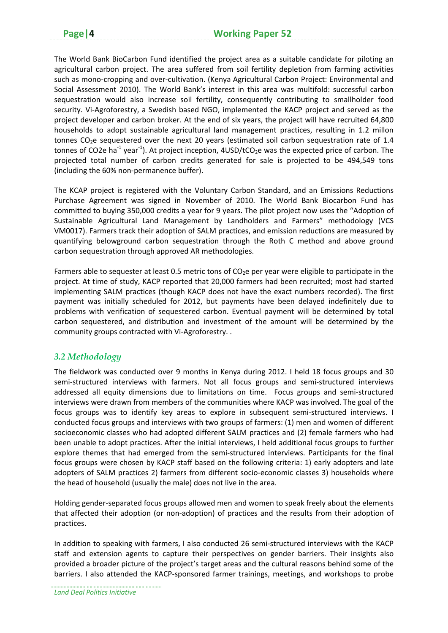The World Bank BioCarbon Fund identified the project area as a suitable candidate for piloting an agricultural carbon project. The area suffered from soil fertility depletion from farming activities such as mono‐cropping and over‐cultivation. (Kenya Agricultural Carbon Project: Environmental and Social Assessment 2010). The World Bank's interest in this area was multifold: successful carbon sequestration would also increase soil fertility, consequently contributing to smallholder food security. Vi-Agroforestry, a Swedish based NGO, implemented the KACP project and served as the project developer and carbon broker. At the end of six years, the project will have recruited 64,800 households to adopt sustainable agricultural land management practices, resulting in 1.2 millon tonnes CO<sub>2</sub>e sequestered over the next 20 years (estimated soil carbon sequestration rate of 1.4 tonnes of CO2e ha<sup>-1</sup> year<sup>-1</sup>). At project inception, 4USD/tCO<sub>2</sub>e was the expected price of carbon. The projected total number of carbon credits generated for sale is projected to be 494,549 tons (including the 60% non‐permanence buffer).

The KCAP project is registered with the Voluntary Carbon Standard, and an Emissions Reductions Purchase Agreement was signed in November of 2010. The World Bank Biocarbon Fund has committed to buying 350,000 credits a year for 9 years. The pilot project now uses the "Adoption of Sustainable Agricultural Land Management by Landholders and Farmers" methodology (VCS VM0017). Farmers track their adoption of SALM practices, and emission reductions are measured by quantifying belowground carbon sequestration through the Roth C method and above ground carbon sequestration through approved AR methodologies.

Farmers able to sequester at least 0.5 metric tons of  $CO<sub>2</sub>e$  per year were eligible to participate in the project. At time of study, KACP reported that 20,000 farmers had been recruited; most had started implementing SALM practices (though KACP does not have the exact numbers recorded). The first payment was initially scheduled for 2012, but payments have been delayed indefinitely due to problems with verification of sequestered carbon. Eventual payment will be determined by total carbon sequestered, and distribution and investment of the amount will be determined by the community groups contracted with Vi‐Agroforestry. .

# *3.2 Methodology*

The fieldwork was conducted over 9 months in Kenya during 2012. I held 18 focus groups and 30 semi-structured interviews with farmers. Not all focus groups and semi-structured interviews addressed all equity dimensions due to limitations on time. Focus groups and semi-structured interviews were drawn from members of the communities where KACP was involved. The goal of the focus groups was to identify key areas to explore in subsequent semi-structured interviews. I conducted focus groups and interviews with two groups of farmers: (1) men and women of different socioeconomic classes who had adopted different SALM practices and (2) female farmers who had been unable to adopt practices. After the initial interviews, I held additional focus groups to further explore themes that had emerged from the semi‐structured interviews. Participants for the final focus groups were chosen by KACP staff based on the following criteria: 1) early adopters and late adopters of SALM practices 2) farmers from different socio‐economic classes 3) households where the head of household (usually the male) does not live in the area.

Holding gender‐separated focus groups allowed men and women to speak freely about the elements that affected their adoption (or non‐adoption) of practices and the results from their adoption of practices.

In addition to speaking with farmers, I also conducted 26 semi-structured interviews with the KACP staff and extension agents to capture their perspectives on gender barriers. Their insights also provided a broader picture of the project's target areas and the cultural reasons behind some of the barriers. I also attended the KACP‐sponsored farmer trainings, meetings, and workshops to probe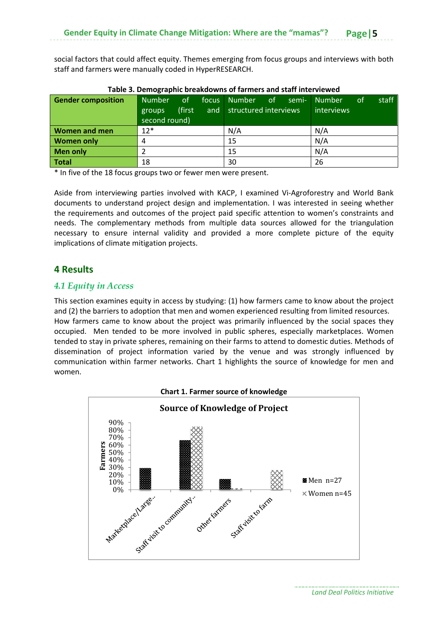social factors that could affect equity. Themes emerging from focus groups and interviews with both staff and farmers were manually coded in HyperRESEARCH.

| <b>Gender composition</b> | Number<br>groups<br>second round) | of.<br>(first) |  | focus Number of<br>and structured interviews |  | semi- | <b>Number</b><br>interviews | of | staff |
|---------------------------|-----------------------------------|----------------|--|----------------------------------------------|--|-------|-----------------------------|----|-------|
| <b>Women and men</b>      | $12*$                             |                |  | N/A                                          |  |       | N/A                         |    |       |
| <b>Women only</b>         |                                   |                |  | 15                                           |  |       | N/A                         |    |       |
| Men only                  |                                   |                |  | 15                                           |  |       | N/A                         |    |       |
| Total                     | 18                                |                |  | 30                                           |  |       | 26                          |    |       |

#### **Table 3. Demographic breakdowns of farmers and staff interviewed**

\* In five of the 18 focus groups two or fewer men were present.

Aside from interviewing parties involved with KACP, I examined Vi‐Agroforestry and World Bank documents to understand project design and implementation. I was interested in seeing whether the requirements and outcomes of the project paid specific attention to women's constraints and needs. The complementary methods from multiple data sources allowed for the triangulation necessary to ensure internal validity and provided a more complete picture of the equity implications of climate mitigation projects.

## **4 Results**

#### *4.1 Equity in Access*

This section examines equity in access by studying: (1) how farmers came to know about the project and (2) the barriers to adoption that men and women experienced resulting from limited resources. How farmers came to know about the project was primarily influenced by the social spaces they occupied. Men tended to be more involved in public spheres, especially marketplaces. Women tended to stay in private spheres, remaining on their farms to attend to domestic duties. Methods of dissemination of project information varied by the venue and was strongly influenced by communication within farmer networks. Chart 1 highlights the source of knowledge for men and women.

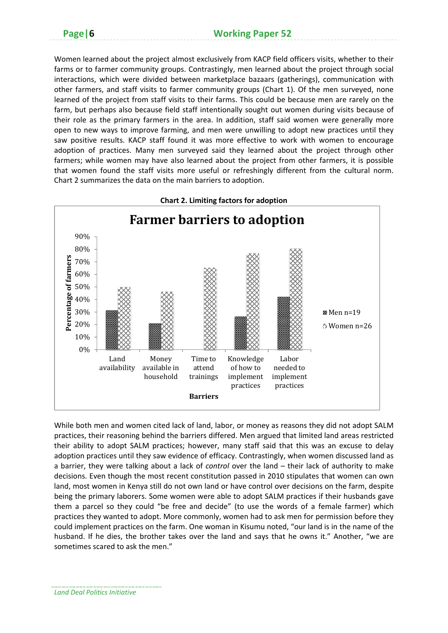Women learned about the project almost exclusively from KACP field officers visits, whether to their farms or to farmer community groups. Contrastingly, men learned about the project through social interactions, which were divided between marketplace bazaars (gatherings), communication with other farmers, and staff visits to farmer community groups (Chart 1). Of the men surveyed, none learned of the project from staff visits to their farms. This could be because men are rarely on the farm, but perhaps also because field staff intentionally sought out women during visits because of their role as the primary farmers in the area. In addition, staff said women were generally more open to new ways to improve farming, and men were unwilling to adopt new practices until they saw positive results. KACP staff found it was more effective to work with women to encourage adoption of practices. Many men surveyed said they learned about the project through other farmers; while women may have also learned about the project from other farmers, it is possible that women found the staff visits more useful or refreshingly different from the cultural norm. Chart 2 summarizes the data on the main barriers to adoption.



**Chart 2. Limiting factors for adoption**

While both men and women cited lack of land, labor, or money as reasons they did not adopt SALM practices, their reasoning behind the barriers differed. Men argued that limited land areas restricted their ability to adopt SALM practices; however, many staff said that this was an excuse to delay adoption practices until they saw evidence of efficacy. Contrastingly, when women discussed land as a barrier, they were talking about a lack of *control* over the land – their lack of authority to make decisions. Even though the most recent constitution passed in 2010 stipulates that women can own land, most women in Kenya still do not own land or have control over decisions on the farm, despite being the primary laborers. Some women were able to adopt SALM practices if their husbands gave them a parcel so they could "be free and decide" (to use the words of a female farmer) which practices they wanted to adopt. More commonly, women had to ask men for permission before they could implement practices on the farm. One woman in Kisumu noted, "our land is in the name of the husband. If he dies, the brother takes over the land and says that he owns it." Another, "we are sometimes scared to ask the men."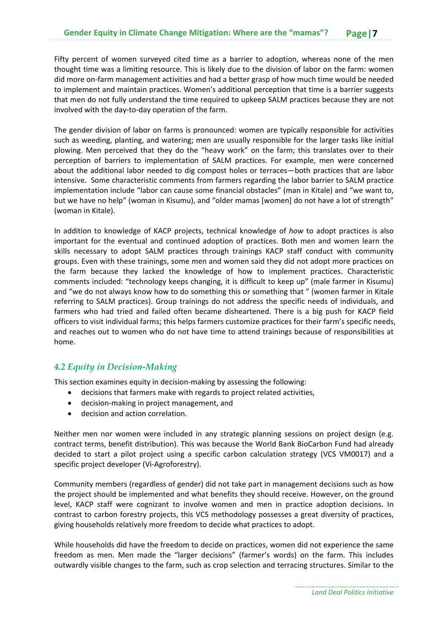Fifty percent of women surveyed cited time as a barrier to adoption, whereas none of the men thought time was a limiting resource. This is likely due to the division of labor on the farm: women did more on‐farm management activities and had a better grasp of how much time would be needed to implement and maintain practices. Women's additional perception that time is a barrier suggests that men do not fully understand the time required to upkeep SALM practices because they are not involved with the day‐to‐day operation of the farm.

The gender division of labor on farms is pronounced: women are typically responsible for activities such as weeding, planting, and watering; men are usually responsible for the larger tasks like initial plowing. Men perceived that they do the "heavy work" on the farm; this translates over to their perception of barriers to implementation of SALM practices. For example, men were concerned about the additional labor needed to dig compost holes or terraces—both practices that are labor intensive. Some characteristic comments from farmers regarding the labor barrier to SALM practice implementation include "labor can cause some financial obstacles" (man in Kitale) and "we want to, but we have no help" (woman in Kisumu), and "older mamas [women] do not have a lot of strength" (woman in Kitale).

In addition to knowledge of KACP projects, technical knowledge of *how* to adopt practices is also important for the eventual and continued adoption of practices. Both men and women learn the skills necessary to adopt SALM practices through trainings KACP staff conduct with community groups. Even with these trainings, some men and women said they did not adopt more practices on the farm because they lacked the knowledge of how to implement practices. Characteristic comments included: "technology keeps changing, it is difficult to keep up" (male farmer in Kisumu) and "we do not always know how to do something this or something that " (women farmer in Kitale referring to SALM practices). Group trainings do not address the specific needs of individuals, and farmers who had tried and failed often became disheartened. There is a big push for KACP field officers to visit individual farms; this helps farmers customize practices for their farm's specific needs, and reaches out to women who do not have time to attend trainings because of responsibilities at home.

## *4.2 Equity in Decision-Making*

This section examines equity in decision‐making by assessing the following:

- decisions that farmers make with regards to project related activities,
- decision-making in project management, and
- decision and action correlation.

Neither men nor women were included in any strategic planning sessions on project design (e.g. contract terms, benefit distribution). This was because the World Bank BioCarbon Fund had already decided to start a pilot project using a specific carbon calculation strategy (VCS VM0017) and a specific project developer (Vi‐Agroforestry).

Community members (regardless of gender) did not take part in management decisions such as how the project should be implemented and what benefits they should receive. However, on the ground level, KACP staff were cognizant to involve women and men in practice adoption decisions. In contrast to carbon forestry projects, this VCS methodology possesses a great diversity of practices, giving households relatively more freedom to decide what practices to adopt.

While households did have the freedom to decide on practices, women did not experience the same freedom as men. Men made the "larger decisions" (farmer's words) on the farm. This includes outwardly visible changes to the farm, such as crop selection and terracing structures. Similar to the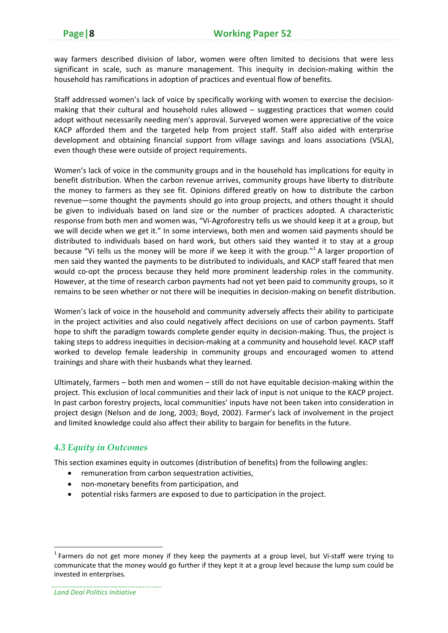way farmers described division of labor, women were often limited to decisions that were less significant in scale, such as manure management. This inequity in decision-making within the household has ramifications in adoption of practices and eventual flow of benefits.

Staff addressed women's lack of voice by specifically working with women to exercise the decision‐ making that their cultural and household rules allowed – suggesting practices that women could adopt without necessarily needing men's approval. Surveyed women were appreciative of the voice KACP afforded them and the targeted help from project staff. Staff also aided with enterprise development and obtaining financial support from village savings and loans associations (VSLA), even though these were outside of project requirements.

Women's lack of voice in the community groups and in the household has implications for equity in benefit distribution. When the carbon revenue arrives, community groups have liberty to distribute the money to farmers as they see fit. Opinions differed greatly on how to distribute the carbon revenue—some thought the payments should go into group projects, and others thought it should be given to individuals based on land size or the number of practices adopted. A characteristic response from both men and women was, "Vi‐Agroforestry tells us we should keep it at a group, but we will decide when we get it." In some interviews, both men and women said payments should be distributed to individuals based on hard work, but others said they wanted it to stay at a group because "Vi tells us the money will be more if we keep it with the group." $^1$  A larger proportion of men said they wanted the payments to be distributed to individuals, and KACP staff feared that men would co-opt the process because they held more prominent leadership roles in the community. However, at the time of research carbon payments had not yet been paid to community groups, so it remains to be seen whether or not there will be inequities in decision-making on benefit distribution.

Women's lack of voice in the household and community adversely affects their ability to participate in the project activities and also could negatively affect decisions on use of carbon payments. Staff hope to shift the paradigm towards complete gender equity in decision-making. Thus, the project is taking steps to address inequities in decision‐making at a community and household level. KACP staff worked to develop female leadership in community groups and encouraged women to attend trainings and share with their husbands what they learned.

Ultimately, farmers – both men and women – still do not have equitable decision‐making within the project. This exclusion of local communities and their lack of input is not unique to the KACP project. In past carbon forestry projects, local communities' inputs have not been taken into consideration in project design (Nelson and de Jong, 2003; Boyd, 2002). Farmer's lack of involvement in the project and limited knowledge could also affect their ability to bargain for benefits in the future.

## *4.3 Equity in Outcomes*

This section examines equity in outcomes (distribution of benefits) from the following angles:

- remuneration from carbon sequestration activities,
- non-monetary benefits from participation, and
- potential risks farmers are exposed to due to participation in the project.

 <sup>1</sup> Farmers do not get more money if they keep the payments at a group level, but Vi-staff were trying to communicate that the money would go further if they kept it at a group level because the lump sum could be invested in enterprises.

*Land Deal Politics Initiative*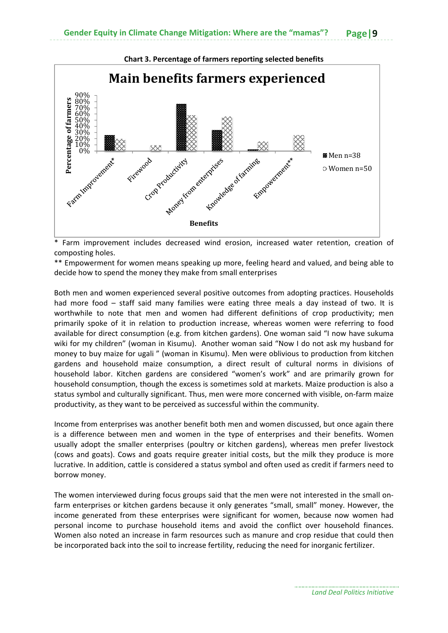

\* Farm improvement includes decreased wind erosion, increased water retention, creation of composting holes.

\*\* Empowerment for women means speaking up more, feeling heard and valued, and being able to decide how to spend the money they make from small enterprises

Both men and women experienced several positive outcomes from adopting practices. Households had more food – staff said many families were eating three meals a day instead of two. It is worthwhile to note that men and women had different definitions of crop productivity; men primarily spoke of it in relation to production increase, whereas women were referring to food available for direct consumption (e.g. from kitchen gardens). One woman said "I now have sukuma wiki for my children" (woman in Kisumu). Another woman said "Now I do not ask my husband for money to buy maize for ugali " (woman in Kisumu). Men were oblivious to production from kitchen gardens and household maize consumption, a direct result of cultural norms in divisions of household labor. Kitchen gardens are considered "women's work" and are primarily grown for household consumption, though the excess is sometimes sold at markets. Maize production is also a status symbol and culturally significant. Thus, men were more concerned with visible, on‐farm maize productivity, as they want to be perceived as successful within the community.

Income from enterprises was another benefit both men and women discussed, but once again there is a difference between men and women in the type of enterprises and their benefits. Women usually adopt the smaller enterprises (poultry or kitchen gardens), whereas men prefer livestock (cows and goats). Cows and goats require greater initial costs, but the milk they produce is more lucrative. In addition, cattle is considered a status symbol and often used as credit if farmers need to borrow money.

The women interviewed during focus groups said that the men were not interested in the small on‐ farm enterprises or kitchen gardens because it only generates "small, small" money. However, the income generated from these enterprises were significant for women, because now women had personal income to purchase household items and avoid the conflict over household finances. Women also noted an increase in farm resources such as manure and crop residue that could then be incorporated back into the soil to increase fertility, reducing the need for inorganic fertilizer.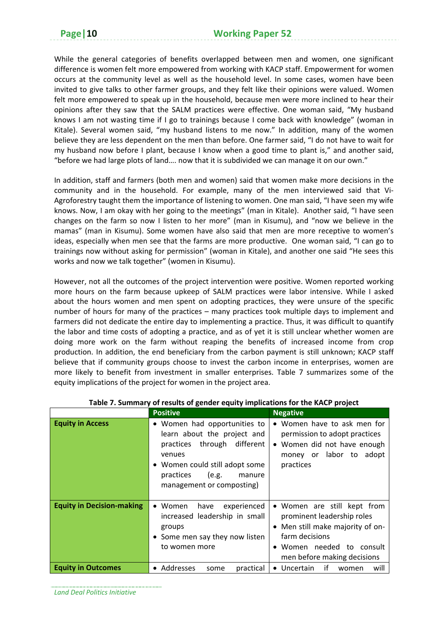While the general categories of benefits overlapped between men and women, one significant difference is women felt more empowered from working with KACP staff. Empowerment for women occurs at the community level as well as the household level. In some cases, women have been invited to give talks to other farmer groups, and they felt like their opinions were valued. Women felt more empowered to speak up in the household, because men were more inclined to hear their opinions after they saw that the SALM practices were effective. One woman said, "My husband knows I am not wasting time if I go to trainings because I come back with knowledge" (woman in Kitale). Several women said, "my husband listens to me now." In addition, many of the women believe they are less dependent on the men than before. One farmer said, "I do not have to wait for my husband now before I plant, because I know when a good time to plant is," and another said, "before we had large plots of land…. now that it is subdivided we can manage it on our own."

In addition, staff and farmers (both men and women) said that women make more decisions in the community and in the household. For example, many of the men interviewed said that Vi‐ Agroforestry taught them the importance of listening to women. One man said, "I have seen my wife knows. Now, I am okay with her going to the meetings" (man in Kitale). Another said, "I have seen changes on the farm so now I listen to her more" (man in Kisumu), and "now we believe in the mamas" (man in Kisumu). Some women have also said that men are more receptive to women's ideas, especially when men see that the farms are more productive. One woman said, "I can go to trainings now without asking for permission" (woman in Kitale), and another one said "He sees this works and now we talk together" (women in Kisumu).

However, not all the outcomes of the project intervention were positive. Women reported working more hours on the farm because upkeep of SALM practices were labor intensive. While I asked about the hours women and men spent on adopting practices, they were unsure of the specific number of hours for many of the practices – many practices took multiple days to implement and farmers did not dedicate the entire day to implementing a practice. Thus, it was difficult to quantify the labor and time costs of adopting a practice, and as of yet it is still unclear whether women are doing more work on the farm without reaping the benefits of increased income from crop production. In addition, the end beneficiary from the carbon payment is still unknown; KACP staff believe that if community groups choose to invest the carbon income in enterprises, women are more likely to benefit from investment in smaller enterprises. Table 7 summarizes some of the equity implications of the project for women in the project area.

|                                  | <b>Positive</b>                                                                                                                                                                                     | <b>Negative</b>                                                                                                                                                           |  |  |
|----------------------------------|-----------------------------------------------------------------------------------------------------------------------------------------------------------------------------------------------------|---------------------------------------------------------------------------------------------------------------------------------------------------------------------------|--|--|
| <b>Equity in Access</b>          | • Women had opportunities to<br>learn about the project and<br>practices through different<br>venues<br>• Women could still adopt some<br>practices<br>(e.g.<br>manure<br>management or composting) | • Women have to ask men for<br>permission to adopt practices<br>• Women did not have enough<br>money or labor to adopt<br>practices                                       |  |  |
| <b>Equity in Decision-making</b> | $\bullet$ Women<br>have<br>experienced<br>increased leadership in small<br>groups<br>• Some men say they now listen<br>to women more                                                                | • Women are still kept from<br>prominent leadership roles<br>• Men still make majority of on-<br>farm decisions<br>Women needed to consult<br>men before making decisions |  |  |
| <b>Equity in Outcomes</b>        | practical<br>• Addresses<br>some                                                                                                                                                                    | if<br>• Uncertain<br>will<br>women                                                                                                                                        |  |  |

#### **Table 7. Summary of results of gender equity implications for the KACP project**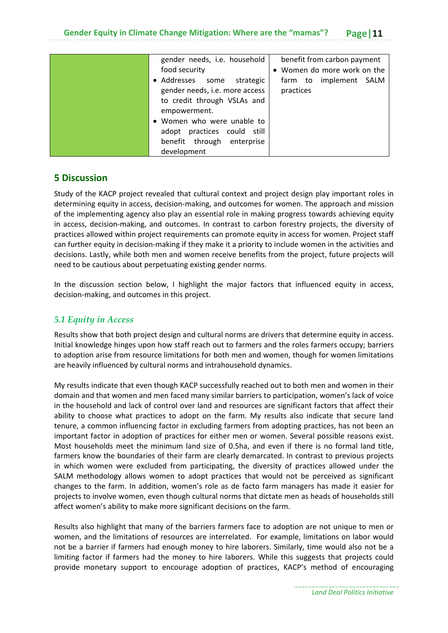| gender needs, i.e. household<br>food security                                                                                                                                                                             | benefit from carbon payment<br>• Women do more work on the |
|---------------------------------------------------------------------------------------------------------------------------------------------------------------------------------------------------------------------------|------------------------------------------------------------|
| • Addresses<br>strategic<br>some<br>gender needs, i.e. more access<br>to credit through VSLAs and<br>empowerment.<br>Women who were unable to<br>adopt practices could still<br>benefit through enterprise<br>development | farm to implement SALM<br>practices                        |

## **5 Discussion**

Study of the KACP project revealed that cultural context and project design play important roles in determining equity in access, decision‐making, and outcomes for women. The approach and mission of the implementing agency also play an essential role in making progress towards achieving equity in access, decision‐making, and outcomes. In contrast to carbon forestry projects, the diversity of practices allowed within project requirements can promote equity in access for women. Project staff can further equity in decision‐making if they make it a priority to include women in the activities and decisions. Lastly, while both men and women receive benefits from the project, future projects will need to be cautious about perpetuating existing gender norms.

In the discussion section below, I highlight the major factors that influenced equity in access, decision‐making, and outcomes in this project.

## *5.1 Equity in Access*

Results show that both project design and cultural norms are drivers that determine equity in access. Initial knowledge hinges upon how staff reach out to farmers and the roles farmers occupy; barriers to adoption arise from resource limitations for both men and women, though for women limitations are heavily influenced by cultural norms and intrahousehold dynamics.

My results indicate that even though KACP successfully reached out to both men and women in their domain and that women and men faced many similar barriers to participation, women's lack of voice in the household and lack of control over land and resources are significant factors that affect their ability to choose what practices to adopt on the farm. My results also indicate that secure land tenure, a common influencing factor in excluding farmers from adopting practices, has not been an important factor in adoption of practices for either men or women. Several possible reasons exist. Most households meet the minimum land size of 0.5ha, and even if there is no formal land title, farmers know the boundaries of their farm are clearly demarcated. In contrast to previous projects in which women were excluded from participating, the diversity of practices allowed under the SALM methodology allows women to adopt practices that would not be perceived as significant changes to the farm. In addition, women's role as de facto farm managers has made it easier for projects to involve women, even though cultural norms that dictate men as heads of households still affect women's ability to make more significant decisions on the farm.

Results also highlight that many of the barriers farmers face to adoption are not unique to men or women, and the limitations of resources are interrelated. For example, limitations on labor would not be a barrier if farmers had enough money to hire laborers. Similarly, time would also not be a limiting factor if farmers had the money to hire laborers. While this suggests that projects could provide monetary support to encourage adoption of practices, KACP's method of encouraging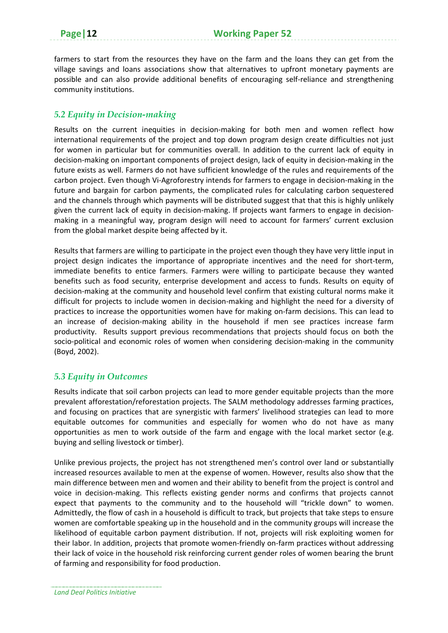farmers to start from the resources they have on the farm and the loans they can get from the village savings and loans associations show that alternatives to upfront monetary payments are possible and can also provide additional benefits of encouraging self‐reliance and strengthening community institutions.

### *5.2 Equity in Decision-making*

Results on the current inequities in decision-making for both men and women reflect how international requirements of the project and top down program design create difficulties not just for women in particular but for communities overall. In addition to the current lack of equity in decision‐making on important components of project design, lack of equity in decision‐making in the future exists as well. Farmers do not have sufficient knowledge of the rules and requirements of the carbon project. Even though Vi‐Agroforestry intends for farmers to engage in decision‐making in the future and bargain for carbon payments, the complicated rules for calculating carbon sequestered and the channels through which payments will be distributed suggest that that this is highly unlikely given the current lack of equity in decision-making. If projects want farmers to engage in decisionmaking in a meaningful way, program design will need to account for farmers' current exclusion from the global market despite being affected by it.

Results that farmers are willing to participate in the project even though they have very little input in project design indicates the importance of appropriate incentives and the need for short-term, immediate benefits to entice farmers. Farmers were willing to participate because they wanted benefits such as food security, enterprise development and access to funds. Results on equity of decision‐making at the community and household level confirm that existing cultural norms make it difficult for projects to include women in decision‐making and highlight the need for a diversity of practices to increase the opportunities women have for making on‐farm decisions. This can lead to an increase of decision-making ability in the household if men see practices increase farm productivity. Results support previous recommendations that projects should focus on both the socio-political and economic roles of women when considering decision-making in the community (Boyd, 2002).

#### *5.3 Equity in Outcomes*

Results indicate that soil carbon projects can lead to more gender equitable projects than the more prevalent afforestation/reforestation projects. The SALM methodology addresses farming practices, and focusing on practices that are synergistic with farmers' livelihood strategies can lead to more equitable outcomes for communities and especially for women who do not have as many opportunities as men to work outside of the farm and engage with the local market sector (e.g. buying and selling livestock or timber).

Unlike previous projects, the project has not strengthened men's control over land or substantially increased resources available to men at the expense of women. However, results also show that the main difference between men and women and their ability to benefit from the project is control and voice in decision‐making. This reflects existing gender norms and confirms that projects cannot expect that payments to the community and to the household will "trickle down" to women. Admittedly, the flow of cash in a household is difficult to track, but projects that take steps to ensure women are comfortable speaking up in the household and in the community groups will increase the likelihood of equitable carbon payment distribution. If not, projects will risk exploiting women for their labor. In addition, projects that promote women‐friendly on‐farm practices without addressing their lack of voice in the household risk reinforcing current gender roles of women bearing the brunt of farming and responsibility for food production.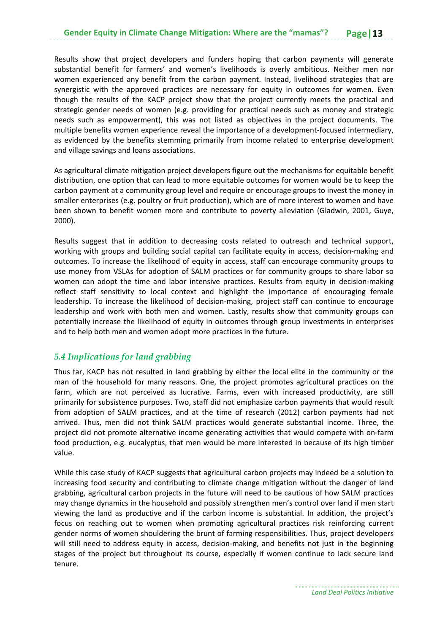Results show that project developers and funders hoping that carbon payments will generate substantial benefit for farmers' and women's livelihoods is overly ambitious. Neither men nor women experienced any benefit from the carbon payment. Instead, livelihood strategies that are synergistic with the approved practices are necessary for equity in outcomes for women. Even though the results of the KACP project show that the project currently meets the practical and strategic gender needs of women (e.g. providing for practical needs such as money and strategic needs such as empowerment), this was not listed as objectives in the project documents. The multiple benefits women experience reveal the importance of a development‐focused intermediary, as evidenced by the benefits stemming primarily from income related to enterprise development and village savings and loans associations.

As agricultural climate mitigation project developers figure out the mechanisms for equitable benefit distribution, one option that can lead to more equitable outcomes for women would be to keep the carbon payment at a community group level and require or encourage groups to invest the money in smaller enterprises (e.g. poultry or fruit production), which are of more interest to women and have been shown to benefit women more and contribute to poverty alleviation (Gladwin, 2001, Guye, 2000).

Results suggest that in addition to decreasing costs related to outreach and technical support, working with groups and building social capital can facilitate equity in access, decision‐making and outcomes. To increase the likelihood of equity in access, staff can encourage community groups to use money from VSLAs for adoption of SALM practices or for community groups to share labor so women can adopt the time and labor intensive practices. Results from equity in decision-making reflect staff sensitivity to local context and highlight the importance of encouraging female leadership. To increase the likelihood of decision-making, project staff can continue to encourage leadership and work with both men and women. Lastly, results show that community groups can potentially increase the likelihood of equity in outcomes through group investments in enterprises and to help both men and women adopt more practices in the future.

# *5.4 Implications for land grabbing*

Thus far, KACP has not resulted in land grabbing by either the local elite in the community or the man of the household for many reasons. One, the project promotes agricultural practices on the farm, which are not perceived as lucrative. Farms, even with increased productivity, are still primarily for subsistence purposes. Two, staff did not emphasize carbon payments that would result from adoption of SALM practices, and at the time of research (2012) carbon payments had not arrived. Thus, men did not think SALM practices would generate substantial income. Three, the project did not promote alternative income generating activities that would compete with on‐farm food production, e.g. eucalyptus, that men would be more interested in because of its high timber value.

While this case study of KACP suggests that agricultural carbon projects may indeed be a solution to increasing food security and contributing to climate change mitigation without the danger of land grabbing, agricultural carbon projects in the future will need to be cautious of how SALM practices may change dynamics in the household and possibly strengthen men's control over land if men start viewing the land as productive and if the carbon income is substantial. In addition, the project's focus on reaching out to women when promoting agricultural practices risk reinforcing current gender norms of women shouldering the brunt of farming responsibilities. Thus, project developers will still need to address equity in access, decision-making, and benefits not just in the beginning stages of the project but throughout its course, especially if women continue to lack secure land tenure.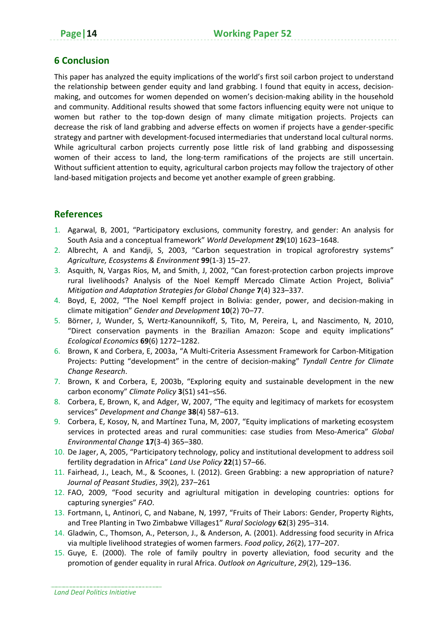# **6 Conclusion**

This paper has analyzed the equity implications of the world's first soil carbon project to understand the relationship between gender equity and land grabbing. I found that equity in access, decisionmaking, and outcomes for women depended on women's decision-making ability in the household and community. Additional results showed that some factors influencing equity were not unique to women but rather to the top-down design of many climate mitigation projects. Projects can decrease the risk of land grabbing and adverse effects on women if projects have a gender‐specific strategy and partner with development‐focused intermediaries that understand local cultural norms. While agricultural carbon projects currently pose little risk of land grabbing and dispossessing women of their access to land, the long-term ramifications of the projects are still uncertain. Without sufficient attention to equity, agricultural carbon projects may follow the trajectory of other land-based mitigation projects and become yet another example of green grabbing.

# **References**

- 1. Agarwal, B, 2001, "Participatory exclusions, community forestry, and gender: An analysis for South Asia and a conceptual framework" *World Development* **29**(10) 1623–1648.
- 2. Albrecht, A and Kandji, S, 2003, "Carbon sequestration in tropical agroforestry systems" *Agriculture, Ecosystems & Environment* **99**(1‐3) 15–27.
- 3. Asquith, N, Vargas Ríos, M, and Smith, J, 2002, "Can forest‐protection carbon projects improve rural livelihoods? Analysis of the Noel Kempff Mercado Climate Action Project, Bolivia" *Mitigation and Adaptation Strategies for Global Change* **7**(4) 323–337.
- 4. Boyd, E, 2002, "The Noel Kempff project in Bolivia: gender, power, and decision-making in climate mitigation" *Gender and Development* **10**(2) 70–77.
- 5. Börner, J, Wunder, S, Wertz‐Kanounnikoff, S, Tito, M, Pereira, L, and Nascimento, N, 2010, "Direct conservation payments in the Brazilian Amazon: Scope and equity implications" *Ecological Economics* **69**(6) 1272–1282.
- 6. Brown, K and Corbera, E, 2003a, "A Multi‐Criteria Assessment Framework for Carbon‐Mitigation Projects: Putting "development" in the centre of decision‐making" *Tyndall Centre for Climate Change Research*.
- 7. Brown, K and Corbera, E, 2003b, "Exploring equity and sustainable development in the new carbon economy" *Climate Policy* **3**(S1) s41–s56.
- 8. Corbera, E, Brown, K, and Adger, W, 2007, "The equity and legitimacy of markets for ecosystem services" *Development and Change* **38**(4) 587–613.
- 9. Corbera, E, Kosoy, N, and Martínez Tuna, M, 2007, "Equity implications of marketing ecosystem services in protected areas and rural communities: case studies from Meso‐America" *Global Environmental Change* **17**(3‐4) 365–380.
- 10. De Jager, A, 2005, "Participatory technology, policy and institutional development to address soil fertility degradation in Africa" *Land Use Policy* **22**(1) 57–66.
- 11. Fairhead, J., Leach, M., & Scoones, I. (2012). Green Grabbing: a new appropriation of nature? *Journal of Peasant Studies*, *39*(2), 237–261
- 12. FAO, 2009, "Food security and agriultural mitigation in developing countries: options for capturing synergies" *FAO*.
- 13. Fortmann, L, Antinori, C, and Nabane, N, 1997, "Fruits of Their Labors: Gender, Property Rights, and Tree Planting in Two Zimbabwe Villages1" *Rural Sociology* **62**(3) 295–314.
- 14. Gladwin, C., Thomson, A., Peterson, J., & Anderson, A. (2001). Addressing food security in Africa via multiple livelihood strategies of women farmers. *Food policy*, *26*(2), 177–207.
- 15. Guye, E. (2000). The role of family poultry in poverty alleviation, food security and the promotion of gender equality in rural Africa. *Outlook on Agriculture*, *29*(2), 129–136.

*Land Deal Politics Initiative*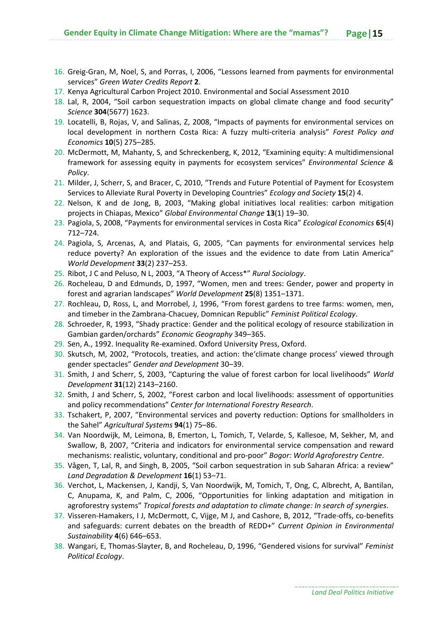- 16. Greig‐Gran, M, Noel, S, and Porras, I, 2006, "Lessons learned from payments for environmental services" *Green Water Credits Report* **2**.
- 17. Kenya Agricultural Carbon Project 2010. Environmental and Social Assessment 2010
- 18. Lal, R, 2004, "Soil carbon sequestration impacts on global climate change and food security" *Science* **304**(5677) 1623.
- 19. Locatelli, B, Rojas, V, and Salinas, Z, 2008, "Impacts of payments for environmental services on local development in northern Costa Rica: A fuzzy multi‐criteria analysis" *Forest Policy and Economics* **10**(5) 275–285.
- 20. McDermott, M, Mahanty, S, and Schreckenberg, K, 2012, "Examining equity: A multidimensional framework for assessing equity in payments for ecosystem services" *Environmental Science & Policy*.
- 21. Milder, J, Scherr, S, and Bracer, C, 2010, "Trends and Future Potential of Payment for Ecosystem Services to Alleviate Rural Poverty in Developing Countries" *Ecology and Society* **15**(2) 4.
- 22. Nelson, K and de Jong, B, 2003, "Making global initiatives local realities: carbon mitigation projects in Chiapas, Mexico" *Global Environmental Change* **13**(1) 19–30.
- 23. Pagiola, S, 2008, "Payments for environmental services in Costa Rica" *Ecological Economics* **65**(4) 712–724.
- 24. Pagiola, S, Arcenas, A, and Platais, G, 2005, "Can payments for environmental services help reduce poverty? An exploration of the issues and the evidence to date from Latin America" *World Development* **33**(2) 237–253.
- 25. Ribot, J C and Peluso, N L, 2003, "A Theory of Access\*" *Rural Sociology*.
- 26. Rocheleau, D and Edmunds, D, 1997, "Women, men and trees: Gender, power and property in forest and agrarian landscapes" *World Development* **25**(8) 1351–1371.
- 27. Rochleau, D, Ross, L, and Morrobel, J, 1996, "From forest gardens to tree farms: women, men, and timeber in the Zambrana‐Chacuey, Domnican Republic" *Feminist Political Ecology*.
- 28. Schroeder, R, 1993, "Shady practice: Gender and the political ecology of resource stabilization in Gambian garden/orchards" *Economic Geography* 349–365.
- 29. Sen, A., 1992. Inequality Re‐examined. Oxford University Press, Oxford.
- 30. Skutsch, M, 2002, "Protocols, treaties, and action: the'climate change process' viewed through gender spectacles" *Gender and Development* 30–39.
- 31. Smith, J and Scherr, S, 2003, "Capturing the value of forest carbon for local livelihoods" *World Development* **31**(12) 2143–2160.
- 32. Smith, J and Scherr, S, 2002, "Forest carbon and local livelihoods: assessment of opportunities and policy recommendations" *Center for International Forestry Research*.
- 33. Tschakert, P, 2007, "Environmental services and poverty reduction: Options for smallholders in the Sahel" *Agricultural Systems* **94**(1) 75–86.
- 34. Van Noordwijk, M, Leimona, B, Emerton, L, Tomich, T, Velarde, S, Kallesoe, M, Sekher, M, and Swallow, B, 2007, "Criteria and indicators for environmental service compensation and reward mechanisms: realistic, voluntary, conditional and pro‐poor" *Bogor: World Agroforestry Centre*.
- 35. Vågen, T, Lal, R, and Singh, B, 2005, "Soil carbon sequestration in sub Saharan Africa: a review" *Land Degradation & Development* **16**(1) 53–71.
- 36. Verchot, L, Mackensen, J, Kandji, S, Van Noordwijk, M, Tomich, T, Ong, C, Albrecht, A, Bantilan, C, Anupama, K, and Palm, C, 2006, "Opportunities for linking adaptation and mitigation in agroforestry systems" *Tropical forests and adaptation to climate change: In search of synergies*.
- 37. Visseren-Hamakers, I J, McDermott, C, Vijge, M J, and Cashore, B, 2012, "Trade-offs, co-benefits and safeguards: current debates on the breadth of REDD+" *Current Opinion in Environmental Sustainability* **4**(6) 646–653.
- 38. Wangari, E, Thomas‐Slayter, B, and Rocheleau, D, 1996, "Gendered visions for survival" *Feminist Political Ecology*.